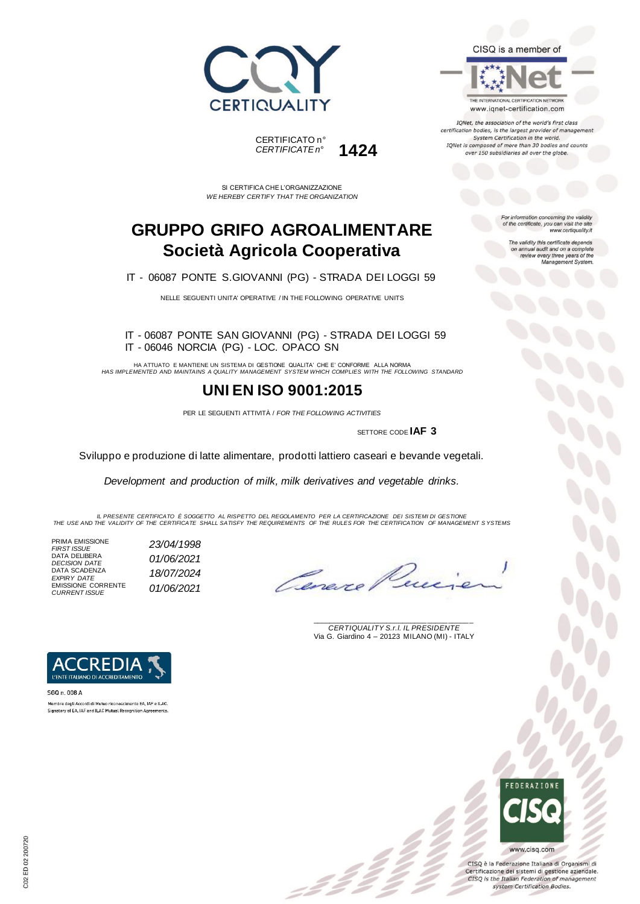



SI CERTIFICA CHE L'ORGANIZZAZIONE *WE HEREBY CERTIFY THAT THE ORGANIZATION*

### **GRUPPO GRIFO AGROALIMENTARE Società Agricola Cooperativa**

IT - 06087 PONTE S.GIOVANNI (PG) - STRADA DEI LOGGI 59

NELLE SEGUENTI UNITA' OPERATIVE / IN THE FOLLOWING OPERATIVE UNITS

#### IT - 06087 PONTE SAN GIOVANNI (PG) - STRADA DEI LOGGI 59 IT - 06046 NORCIA (PG) - LOC. OPACO SN

HA ATTUATO E MANTIENE UN SISTEMA DI GESTIONE QUALITA' CHE E' CONFORME ALLA NORMA *HAS IMPLEMENTED AND MAINTAINS A QUALITY MANAGEMENT SYSTEM WHICH COMPLIES WITH THE FOLLOWING STANDARD*

### **UNI EN ISO 9001:2015**

PER LE SEGUENTI ATTIVITÀ / *FOR THE FOLLOWING ACTIVITIES*

SETTORE CODE **IAF 3**

Sviluppo e produzione di latte alimentare, prodotti lattiero caseari e bevande vegetali.

*Development and production of milk, milk derivatives and vegetable drinks.* 

IL PRESENTE CERTIFICATO E SOGGETTO AL RISPETTO DEL REGOLAMENTO PER LA CERTIFICAZIONE DEI SISTEMI DI GESTIONE<br>THE USE AND THE VALIDITY OF THE CERTIFICATE SHALL SATISFY THE REQUIREMENTS OF THE RULES FOR THE CERTIFICATION OF

 $\mathcal{L}$ 

PRIMA EMISSIONE *FIRST ISSUE 23/04/1998* DATA DELIBERA *DECISION DATE 01/06/2021* DATA SCADENZA *EXPIRY DATE 18/07/2024* EMISSIONE CORRENTE *CURRENT ISSUE 01/06/2021*

Cenere

\_\_\_\_\_\_\_\_\_\_\_\_\_\_\_\_\_\_\_\_\_\_\_\_\_\_\_\_\_\_\_\_\_\_\_\_\_\_\_ *CERTIQUALITY S.r.l. IL PRESIDENTE* Via G. Giardino 4 – 20123 MILANO (MI) - ITALY



SGQ n. 008 A Membro degli Accordi di Mutuo riconoscimento EA, IAF e ILAC. Signatory of EA, IAF and ILAC Mutual Recognition Agree

# **FDFRATIONS**

www.cisq.com CISQ è la Federazione Italiana di Organismi di Certificazione dei sistemi di gestione aziendale. CISQ is the Italian Federation of management system Certification Bodies.





IQNet, the association of the world's first class certification bodies, is the largest provider of management System Certification in the world. IQNet is composed of more than 30 bodies and counts over 150 subsidiaries all over the globe.

> For information concerning the validity<br>of the certificate, you can visit the site www.certiquality.it

> > The validity this certificate depends on annual audit and on a complete<br>review every three years of the<br>Management System.